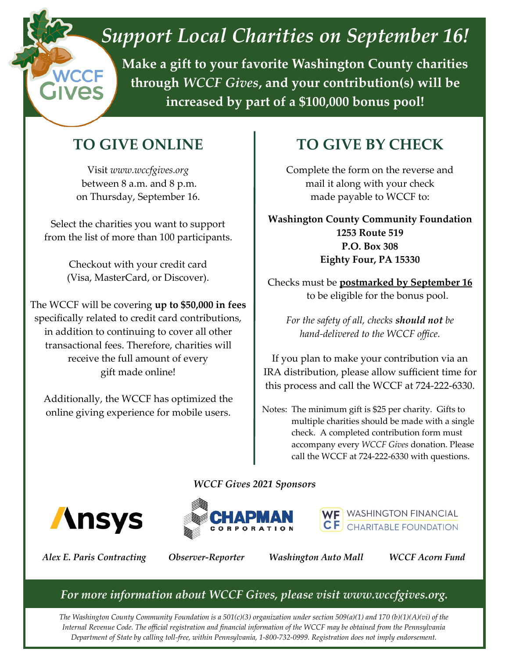# *Support Local Charities on September 16!*

**Make a gift to your favorite Washington County charities through** *WCCF Gives***, and your contribution(s) will be increased by part of a \$100,000 bonus pool!**

### **TO GIVE ONLINE**

Visit *www.wccfgives.org* between 8 a.m. and 8 p.m. on Thursday, September 16.

Select the charities you want to support from the list of more than 100 participants.

> Checkout with your credit card (Visa, MasterCard, or Discover).

The WCCF will be covering **up to \$50,000 in fees**  specifically related to credit card contributions, in addition to continuing to cover all other transactional fees. Therefore, charities will receive the full amount of every gift made online!

Additionally, the WCCF has optimized the online giving experience for mobile users.

## **TO GIVE BY CHECK**

Complete the form on the reverse and mail it along with your check made payable to WCCF to:

**Washington County Community Foundation 1253 Route 519 P.O. Box 308 Eighty Four, PA 15330** 

Checks must be **postmarked by September 16**  to be eligible for the bonus pool.

*For the safety of all, checks should not be hand-delivered to the WCCF office.*

If you plan to make your contribution via an IRA distribution, please allow sufficient time for this process and call the WCCF at 724-222-6330.

Notes: The minimum gift is \$25 per charity. Gifts to multiple charities should be made with a single check. A completed contribution form must accompany every *WCCF Gives* donation. Please call the WCCF at 724-222-6330 with questions.

*WCCF Gives 2021 Sponsors*







*Alex E. Paris Contracting Observer-Reporter Washington Auto Mall WCCF Acorn Fund*

### *For more information about WCCF Gives, please visit www.wccfgives.org.*

*The Washington County Community Foundation is a 501(c)(3) organization under section 509(a)(1) and 170 (b)(1)(A)(vi) of the Internal Revenue Code. The official registration and financial information of the WCCF may be obtained from the Pennsylvania Department of State by calling toll-free, within Pennsylvania, 1-800-732-0999. Registration does not imply endorsement.*